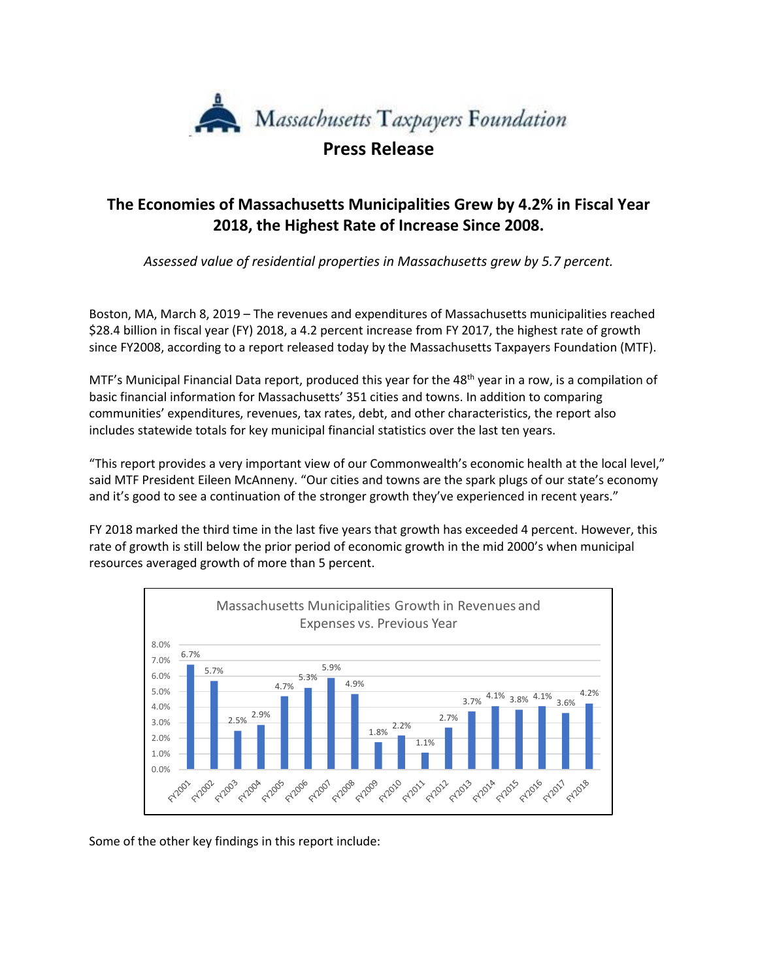

**Press Release**

## **The Economies of Massachusetts Municipalities Grew by 4.2% in Fiscal Year 2018, the Highest Rate of Increase Since 2008.**

*Assessed value of residential properties in Massachusetts grew by 5.7 percent.*

Boston, MA, March 8, 2019 – The revenues and expenditures of Massachusetts municipalities reached \$28.4 billion in fiscal year (FY) 2018, a 4.2 percent increase from FY 2017, the highest rate of growth since FY2008, according to a report released today by the Massachusetts Taxpayers Foundation (MTF).

MTF's Municipal Financial Data report, produced this year for the 48<sup>th</sup> year in a row, is a compilation of basic financial information for Massachusetts' 351 cities and towns. In addition to comparing communities' expenditures, revenues, tax rates, debt, and other characteristics, the report also includes statewide totals for key municipal financial statistics over the last ten years.

"This report provides a very important view of our Commonwealth's economic health at the local level," said MTF President Eileen McAnneny. "Our cities and towns are the spark plugs of our state's economy and it's good to see a continuation of the stronger growth they've experienced in recent years."

FY 2018 marked the third time in the last five years that growth has exceeded 4 percent. However, this rate of growth is still below the prior period of economic growth in the mid 2000's when municipal resources averaged growth of more than 5 percent.



Some of the other key findings in this report include: